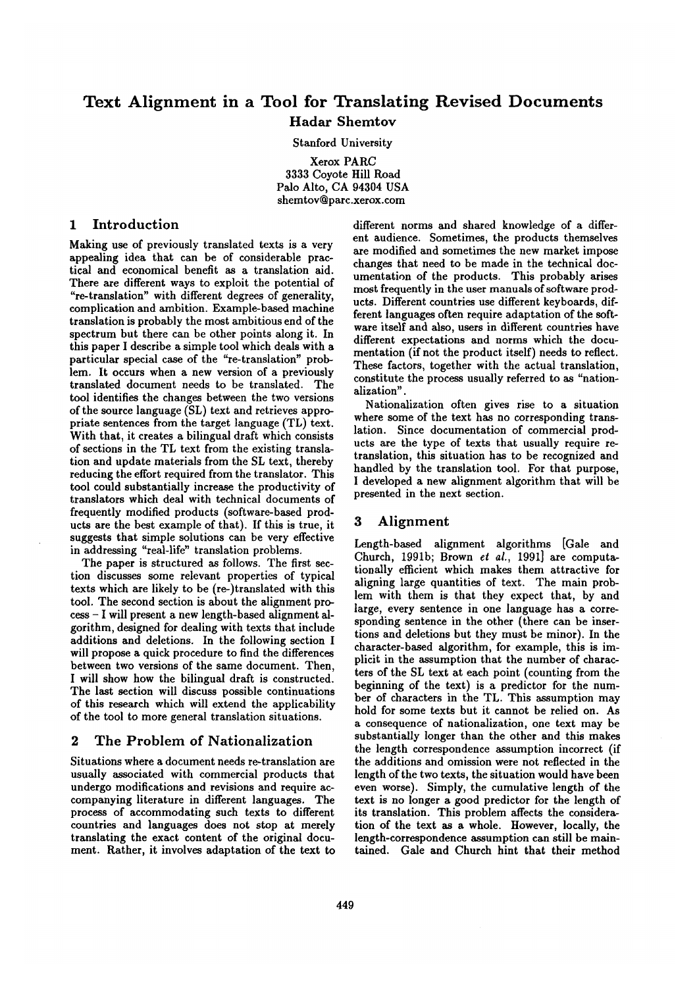# **Text Alignment in a Tool for Translating Revised Documents**  Hadar Shemtov

Stanford University

Xerox PARC 3333 Coyote Hill Road Palo Alto, CA 94304 USA shemtov@parc.xerox.com

# 1 Introduction

Making use of previously translated texts is a very appealing idea that can be of considerable practical and economical benefit as a translation aid. There are different ways to exploit the potential of "re-translation" with different degrees of generality, complication and ambition. Example-based machine translation is probably the most ambitious end of the spectrum but there can be other points along it. In this paper I describe a simple tool which deals with a particular special case of the "re-translation" problem. It occurs when a new version of a previously translated document needs to be translated. The tool identifies the changes between the two versions of the source language (SL) text and retrieves appropriate sentences from the target language (TL) text. With that, it creates a bilingual draft which consists of sections in the TL text from the existing translation and update materials from the SL text, thereby reducing the effort required from the translator. This tool could substantially increase the productivity of translators which deal with technical documents of frequently modified products (software-based products are the best example of that). If this is true, it suggests that simple solutions can be very effective in addressing "real-life" translation problems.

The paper is structured as follows. The first section discusses some relevant properties of typical texts which are likely to be (re-)translated with this tool. The second section is about the alignment process - I will present a new length-based alignment algorithm, designed for dealing with texts that include additions and deletions. In the following section I will propose a quick procedure to find the differences between two versions of the same document. Then, I will show how the bilingual draft is constructed. The last section will discuss possible continuations of this research which will extend the applicability of the tool to more general translation situations.

# 2 The Problem of Nationalization

Situations where a document needs re-translation are usually associated with commercial products that undergo modifications and revisions and require accompanying literature in different languages. The process of accommodating such texts to different countries and languages does not stop at merely translating the exact content of the original document. Rather, it involves adaptation of the text to different norms and shared knowledge of a different audience. Sometimes, the products themselves are modified and sometimes the new market impose changes that need to be made in the technical documentation of the products. This probably arises most frequently in the user manuals of software products. Different countries use different keyboards, different languages often require adaptation of the software itself and also, users in different countries have different expectations and norms which the documentation (if not the product itself) needs to reflect. These factors, together with the actual translation, constitute the process usually referred to as "nationalization".

Nationalization often gives rise to a situation where some of the text has no corresponding translation. Since documentation of commercial products are the type of texts that usually require retranslation, this situation has to be recognized and handled by the translation tool. For that purpose, I developed a new alignment algorithm that will be presented in the next section.

# 3 Alignment

Length-based alignment algorithms [Gale and Church, 1991b; Brown *el al.,* 1991] are computationally efficient which makes them attractive for aligning large quantities of text. The main problem with them is that they expect that, by and large, every sentence in one language has a corresponding sentence in the other (there can be insertions and deletions but they must be minor). In the character-based algorithm, for example, this is implicit in the assumption that the number of characters of the SL text at each point (counting from the beginning of the text) is a predictor for the number of characters in the TL. This assumption may hold for some texts but it cannot be relied on. As a consequence of nationalization, one text may be substantially longer than the other and this makes the length correspondence assumption incorrect (if the additions and omission were not reflected in the length of the two texts, the situation would have been even worse). Simply, the cumulative length of the text is no longer a good predictor for the length of its translation. This problem affects the consideration of the text as a whole. However, locally, the length-correspondence assumption can still be maintained. Gale and Church hint that their method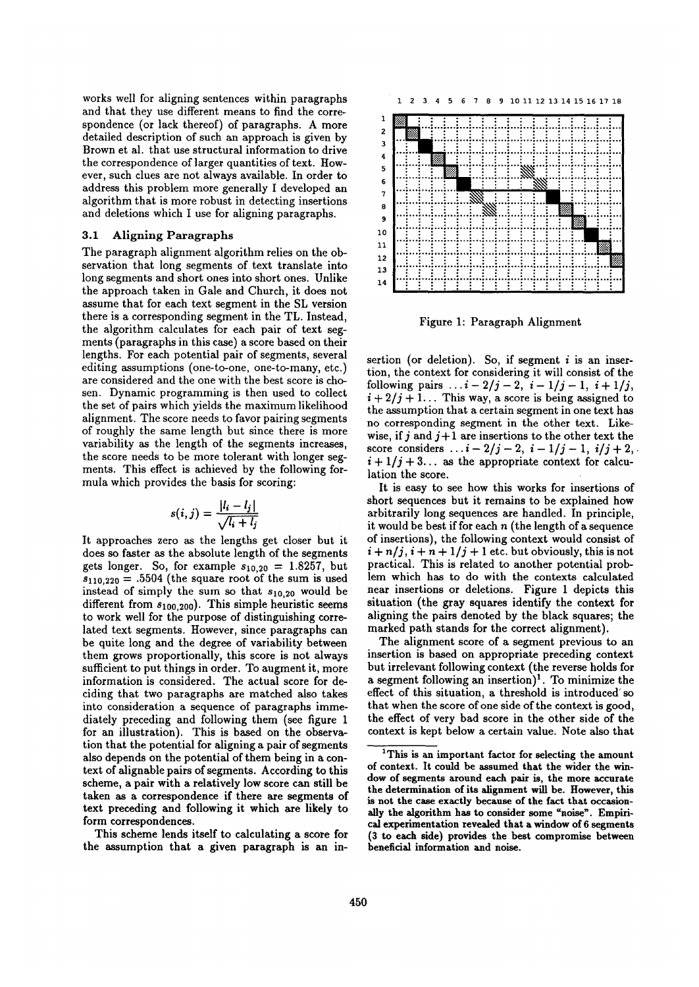works well for aligning sentences within paragraphs and that they use different means to find the correspondence (or lack thereof) of paragraphs. A more detailed description of such an approach is given by Brown et al. that use structural information to drive the correspondence of larger quantities of text. However, such clues are not always available. In order to address this problem more generally I developed an algorithm that is more robust in detecting insertions and deletions which I use for aligning paragraphs.

### 3.1 Aligning Paragraphs

The paragraph alignment algorithm relies on the observation that long segments of text translate into long segments and short ones into short ones. Unlike the approach taken in Gale and Church, it does not assume that for each text segment in the SL version there is a corresponding segment in the TL. Instead, the algorithm calculates for each pair of text segments (paragraphs in this case) a score based on their lengths. For each potential pair of segments, several editing assumptions (one-to-one, one-to-many, etc.) are considered and the one with the best score is chosen. Dynamic programming is then used to collect the set of pairs which yields the maximum likelihood alignment. The score needs to favor pairing segments of roughly the same length but since there is more variability as the length of the segments increases, the score needs to be more tolerant with longer segments. This effect is achieved by the following formula which provides the basis for scoring:

$$
s(i,j) = \frac{|l_i - l_j|}{\sqrt{l_i + l_j}}
$$

It approaches zero as the lengths get closer but it does so faster as the absolute length of the segments gets longer. So, for example  $s_{10,20} = 1.8257$ , but  $s_{110,220} = .5504$  (the square root of the sum is used instead of simply the sum so that  $s_{10,20}$  would be different from  $s_{100,200}$ . This simple heuristic seems to work well for the purpose of distinguishing correlated text segments. However, since paragraphs can be quite long and the degree of variability between them grows proportionally, this score is not always sufficient to put things in order. To augment it, more information is considered. The actual score for deciding that two paragraphs are matched also takes into consideration a sequence of paragraphs immediately preceding and following them (see figure 1 for an illustration). This is based on the observation that the potential for aligning a pair of segments also depends on the potential of them being in a context of alignable pairs of segments. According to this scheme, a pair with a relatively low score can still **be**  taken as a correspondence if there are segments **of**  text preceding and following it which are likely to form **correspondences.** 

This scheme lends itself to calculating a **score for the** assumption that a given paragraph is an in-



Figure 1: Paragraph Alignment

sertion (or deletion). So, if segment  $i$  is an insertion, the context for considering it will consist of the following pairs  $\dots i - 2/j - 2$ ,  $i - 1/j - 1$ ,  $i + 1/j$ ,  $i + 2/j + 1$ ... This way, a score is being assigned to the assumption that a certain segment in one text has no corresponding segment in the other text. Likewise, if j and  $j+1$  are insertions to the other text the score considers  $\dots i - 2/j - 2$ ,  $i - 1/j - 1$ ,  $i/j + 2$ ,  $i + 1/j + 3...$  as the appropriate context for calculation the score.

It is easy to see how this works for insertions of short sequences but it remains to be explained how arbitrarily long sequences are handled. In principle, it would be best if for each  $n$  (the length of a sequence of insertions), the following context would consist of  $i + n/j$ ,  $i + n + 1/j + 1$  etc. but obviously, this is not practical. This is related to another potential problem which has to do with the contexts calculated near insertions or deletions. Figure 1 depicts this situation (the gray squares identify the context for aligning the pairs denoted by the black squares; the marked path stands for the correct alignment).

The alignment score of a segment previous to an insertion is based on appropriate preceding context but irrelevant following context (the reverse holds for a segment following an insertion)<sup>1</sup>. To minimize the effect of this situation, a threshold is introduced'so that when the score of one side of the context is good, the effect of very bad score in the other side of the context is kept below a certain value. Note also that

<sup>1</sup>This is **an importaat factor for selecting the amount of context. It could be assumed that the wider the window of segments around each pair is, the more accurate the determination of its alignment will be. However, this is not the case exactly because of the fact that occasion**ally the algorithm has to consider some "noise". Empiri**cal experimentation revealed that a window of 6 segments (3 to each side) provides the best compromise between beneficial information and noise.**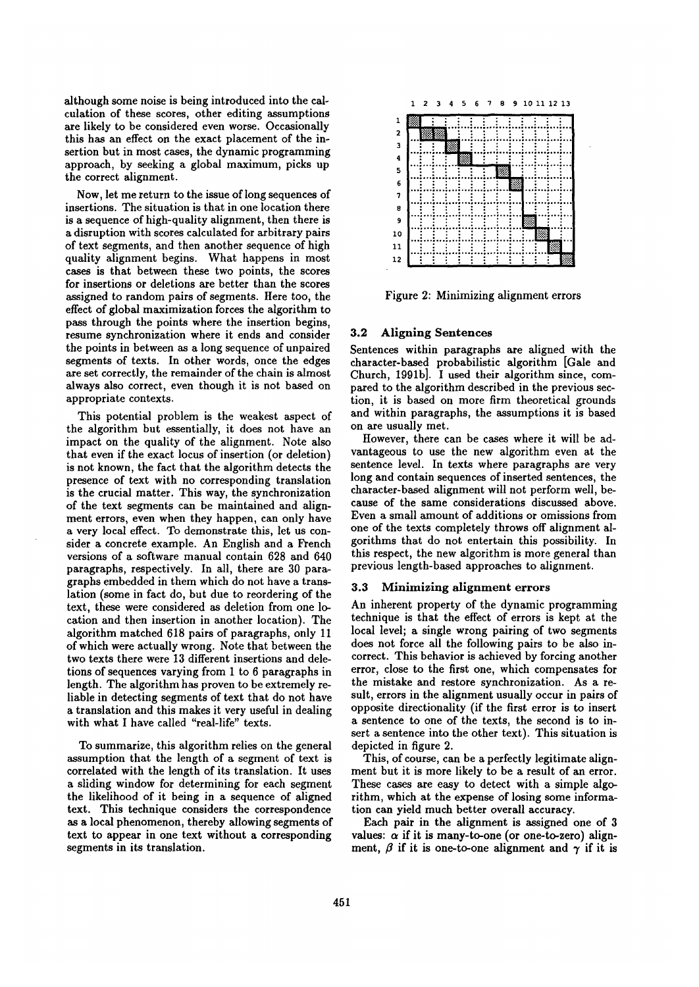although some noise is being introduced into the calculation of these scores, other editing assumptions are likely to be considered even worse. Occasionally this has an effect on the exact placement of the insertion but in most cases, the dynamic programming approach, by seeking a global maximum, picks up the correct alignment.

Now, let me return to the issue of long sequences of insertions. The situation is that in one location there is a sequence of high-quality alignment, then there is a disruption with scores calculated for arbitrary pairs of text segments, and then another sequence of high quality alignment begins. What happens in most cases is that between these two points, the scores for insertions or deletions are better than the scores assigned to random pairs of segments. Here too, the effect of global maximization forces the algorithm to pass through the points where the insertion begins, resume synchronization where it ends and consider the points in between as a long sequence of unpaired segments of texts. In other words, once the edges are set correctly, the remainder of the chain is almost always also correct, even though it is not based on appropriate contexts.

This potential problem is the weakest aspect of the algorithm but essentially, it does not have an impact on the quality of the alignment. Note also that even if the exact locus of insertion (or deletion) is not known, the fact that the algorithm detects the presence of text with no corresponding translation is the crucial matter. This way, the synchronization of the text segments can be maintained and alignment errors, even when they happen, can only have a very local effect. To demonstrate this, let us consider a concrete example. An English and a French versions of a software manual contain 628 and 640 paragraphs, respectively. In all, there are 30 paragraphs embedded in them which do not have a translation (some in fact do, but due to reordering of the text, these were considered as deletion from one location and then insertion in another location). The algorithm matched 618 pairs of paragraphs, only 11 of which were actually wrong. Note that between the two texts there were 13 different insertions and deletions of sequences varying from 1 to 6 paragraphs in length. The algorithm has proven to be extremely reliable in detecting segments of text that do not have a translation and this makes it very useful in dealing with what I have called "real-life" texts.

To summarize, this algorithm relies on the general assumption that the length of a segment of text is correlated with the length of its translation. It uses a sliding window for determining for each segment the likelihood of it being in a sequence of aligned text. This technique considers the correspondence as a local phenomenon, thereby allowing segments of text to appear in one text without a corresponding segments in its translation.



Figure 2: Minimizing alignment errors

### **3.2 Aligning Sentences**

Sentences within paragraphs are aligned with the character-based probabilistic algorithm [Gale and Church, 1991b]. I used their algorithm since, compared to the algorithm described in the previous section, it is based on more firm theoretical grounds and within paragraphs, the assumptions it is based on are usually met.

However, there can be cases where it will be advantageous to use the new algorithm even at the sentence level. In texts where paragraphs are very long and contain sequences of inserted sentences, the character-based alignment will not perform well, because of the same considerations discussed above. Even a small amount of additions or omissions from one of the texts completely throws off alignment algorithms that do not entertain this possibility. In this respect, the new algorithm is more general than previous length-based approaches to alignment.

#### 3.3 Minimizing alignment errors

An inherent property of the dynamic programming technique is that the effect of errors is kept at the local level; a single wrong pairing of two segments does not force all the following pairs to be also incorrect. This behavior is achieved by forcing another error, close to the first one, which compensates for the mistake and restore synchronization. As a result, errors in the alignment usually occur in pairs of opposite directionality (if the first error is to insert a sentence to one of the texts, the second is to insert a sentence into the other text). This situation is depicted in figure 2.

This, of course, can be a perfectly legitimate alignment but it is more likely to be a result of an error. These cases are easy to detect with a simple algorithm, which at the expense of losing some information can yield much better overall accuracy.

Each pair in the alignment is assigned one of 3 values:  $\alpha$  if it is many-to-one (or one-to-zero) alignment,  $\beta$  if it is one-to-one alignment and  $\gamma$  if it is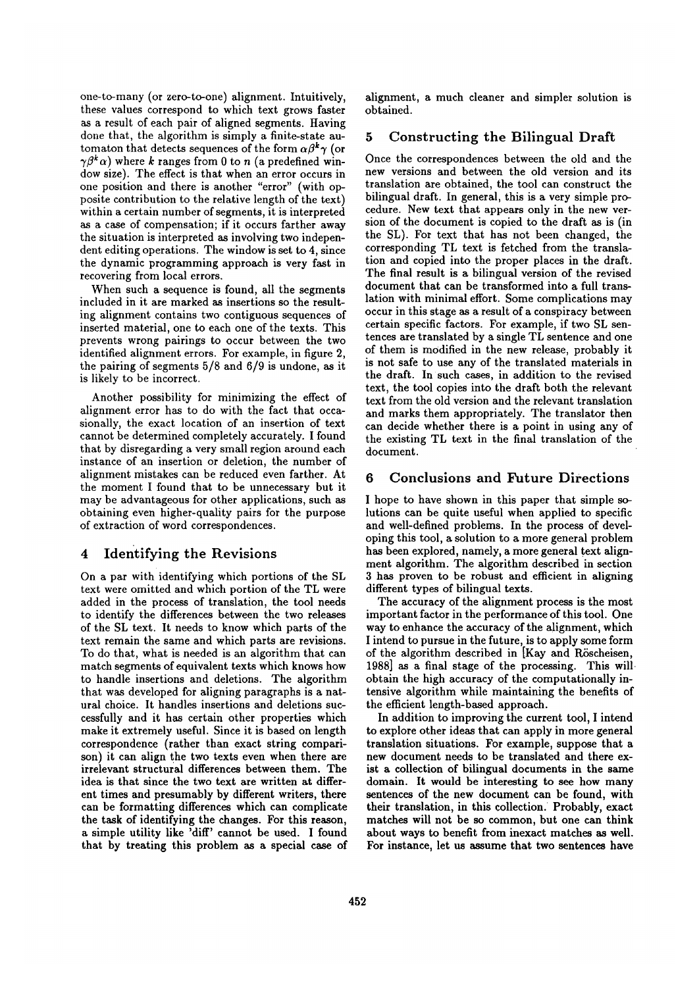one-to-many (or zero-to-one) alignment. Intuitively, these values correspond to which text grows faster as a result of each pair of aligned segments. Having done that, the algorithm is simply a finite-state automaton that detects sequences of the form  $\alpha\beta^k\gamma$  (or  $\gamma \beta^k \alpha$ ) where k ranges from 0 to n (a predefined window size). The effect is that when an error occurs in one position and there is another "error" (with opposite contribution to the relative length of the text) within a certain number of segments, it is interpreted as a case of compensation; if it occurs farther away the situation is interpreted as involving two independent editing operations. The window is set to 4, since the dynamic programming approach is very fast in recovering from local errors.

When such a sequence is found, all the segments included in it are marked as insertions so the resulting alignment contains two contiguous sequences of inserted material, one to each one of the texts. This prevents wrong pairings to occur between the two identified alignment errors. For example, in figure 2, the pairing of segments 5/8 and 6/9 is undone, as it is likely to be incorrect.

Another possibility for minimizing the effect of alignment error has to do with the fact that occasionally, the exact location of an insertion of text cannot be determined completely accurately. I found that by disregarding a very small region around each instance of an insertion or deletion, the number of alignment mistakes can be reduced even farther. At the moment I found that to be unnecessary but it may be advantageous for other applications, such as obtaining even higher-quality pairs for the purpose of extraction of word correspondences.

## 4 Identifying the Revisions

On a par with identifying which portions of the SL text were omitted and which portion of the TL were added in the process of translation, the tool needs to identify the differences between the two releases of the SL text. It needs to know which parts of the text remain the same and which parts are revisions. To do that, what is needed is an algorithm that can match segments of equivalent texts which knows how to handle insertions and deletions. The algorithm that was developed for aligning paragraphs is a natural choice. It handles insertions and deletions successfully and it has certain other properties which make it extremely useful. Since it is based on length correspondence (rather than exact string comparison) it can align the two texts even when there are irrelevant structural differences between them. The idea is that since the two text are written at different times and presumably by different writers, there can be formatting differences which can complicate the task of identifying the changes. For this reason, a simple utility like 'diff' cannot be used. I found that by treating this problem as a special case of

alignment, a much cleaner and simpler solution is obtained.

### 5 Constructing the Bilingual Draft

Once the correspondences between the old and the new versions and between the old version and its translation are obtained, the tool can construct the bilingual draft. In general, this is a very simple procedure. New text that appears only in the new version of the document is copied to the draft as is (in the SL). For text that has not been changed, the corresponding TL text is fetched from the translation and copied into the proper places in the draft. The final result is a bilingual version of the revised document that can be transformed into a full translation with minimal effort. Some complications may occur in this stage as a result of a conspiracy between certain specific factors. For example, if two SL sentences are translated by a single TL sentence and one of them is modified in the new release, probably it is not safe to use any of the translated materials in the draft. In such cases, in addition to the revised text, the tool copies into the draft both the relevant text from the old version and the relevant translation and marks them appropriately. The translator then can decide whether there is a point in using any of the existing TL text in the final translation of the document.

### 6 Conclusions and Future Directions

I hope to have shown in this paper that simple solutions can be quite useful when applied to specific and well-defined problems. In the process of developing this tool, a solution to a more general problem has been explored, namely, a more general text alignment algorithm. The algorithm described in section 3 has proven to be robust and efficient in aligning different types of bilingual texts.

The accuracy of the alignment process is the most important factor in the performance of this tool. One way to enhance the accuracy of the alignment, which I intend to pursue in the future, is to apply some form of the algorithm described in [Kay and Röscheisen, 1988] as a final stage of the processing. This will obtain the high accuracy of the computationally intensive algorithm while maintaining the benefits of the efficient length-based approach.

In addition to improving the current tool, I intend to explore other ideas that can apply in more general translation situations. For example, suppose that a new document needs to be translated and there exist a collection of bilingual documents in the same domain. It would be interesting to see how many sentences of the new document can be found, with their translation, in this collection. Probably, exact matches will not be so common, but one can think about ways to benefit from inexact matches as well. For instance, let us assume that two sentences have